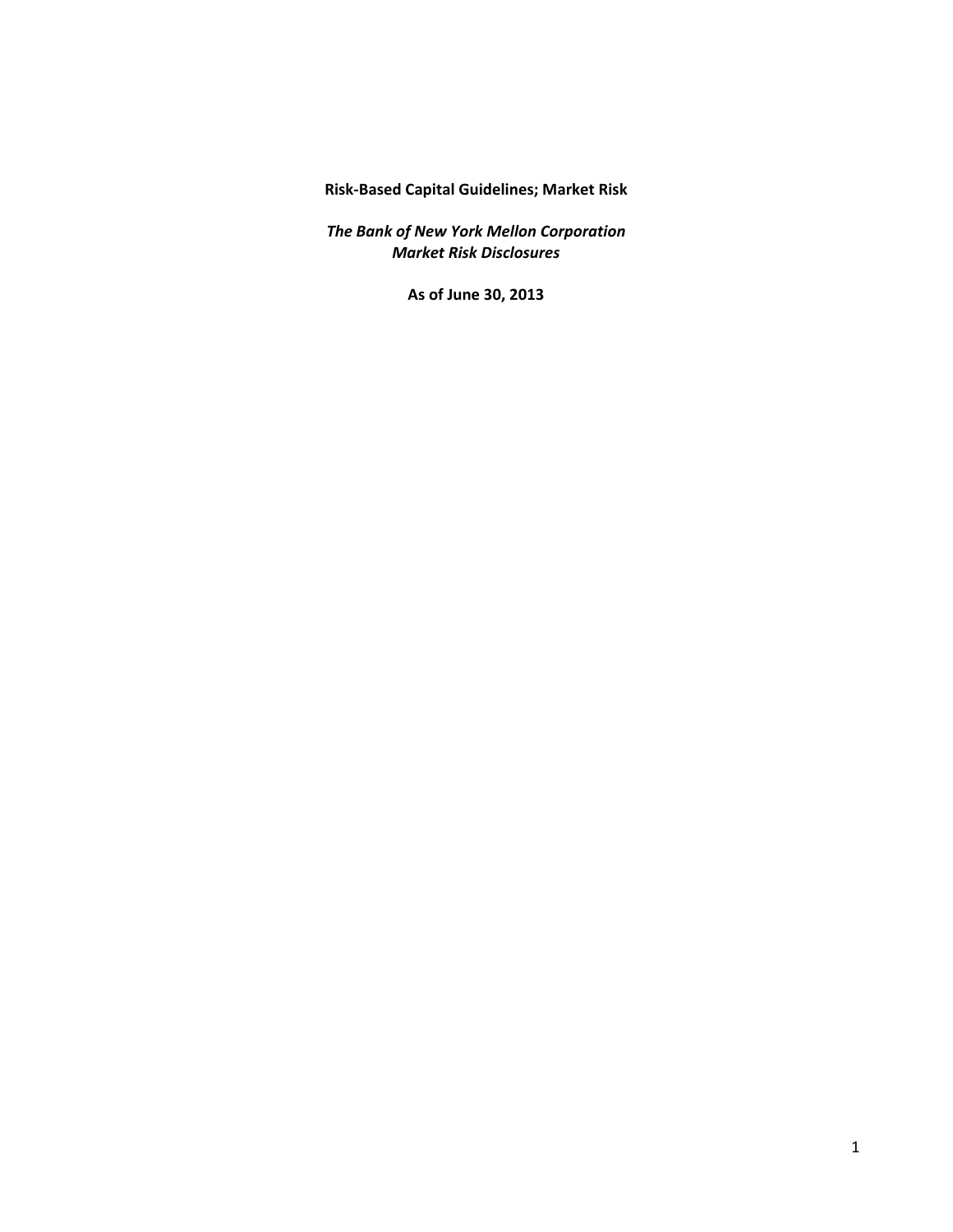**Risk‐Based Capital Guidelines; Market Risk**

 *The Bank of New York Mellon Corporation Market Risk Disclosures*

 **As of June 30, 2013**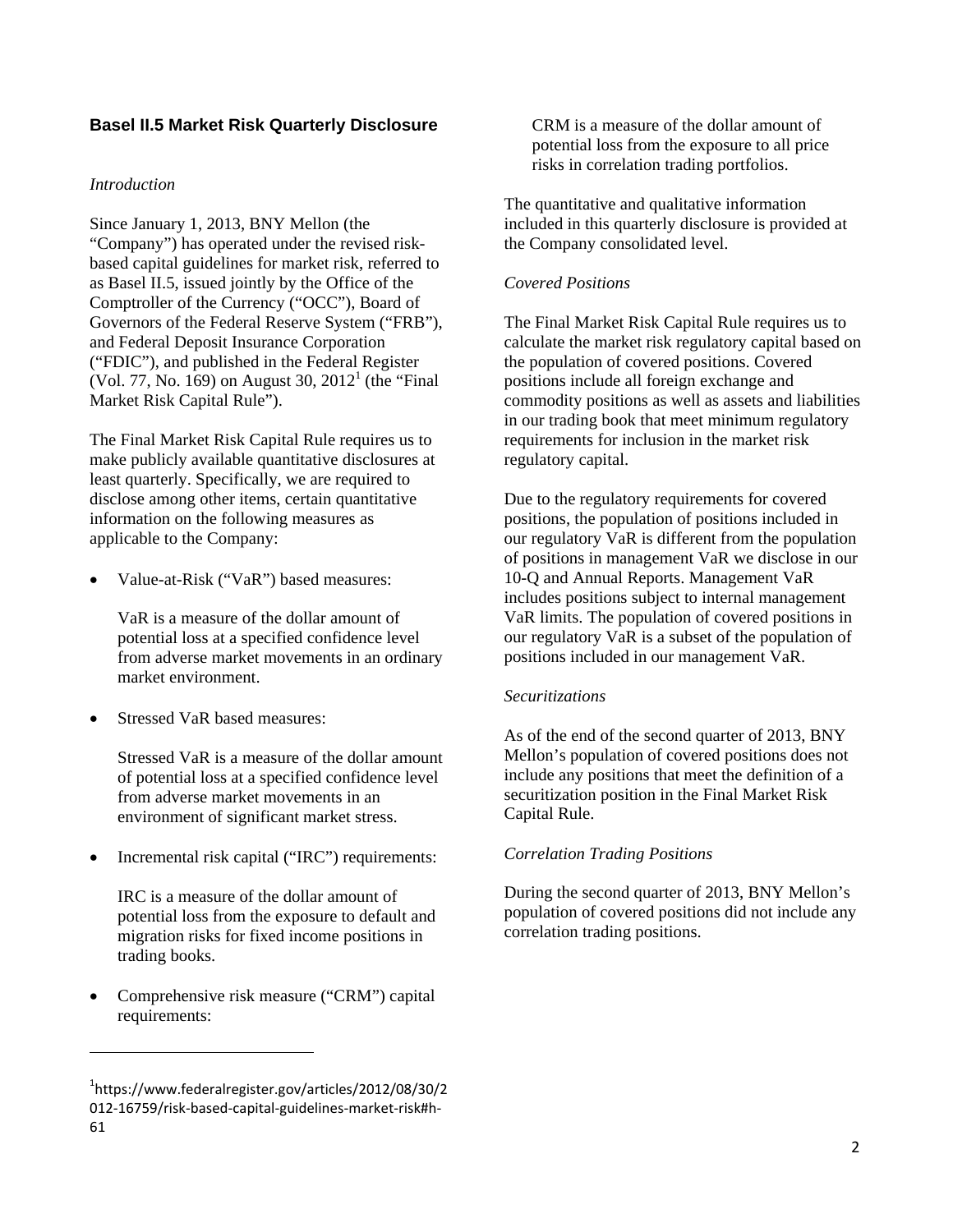# **Basel II.5 Market Risk Quarterly Disclosure**

#### *Introduction*

Since January 1, 2013, BNY Mellon (the "Company") has operated under the revised riskbased capital guidelines for market risk, referred to as Basel II.5, issued jointly by the Office of the Comptroller of the Currency ("OCC"), Board of Governors of the Federal Reserve System ("FRB"), and Federal Deposit Insurance Corporation ("FDIC"), and published in the Federal Register (Vol. 77, No. 169) on August 30,  $2012^1$  (the "Final" Market Risk Capital Rule").

The Final Market Risk Capital Rule requires us to make publicly available quantitative disclosures at least quarterly. Specifically, we are required to disclose among other items, certain quantitative information on the following measures as applicable to the Company:

Value-at-Risk ("VaR") based measures:

VaR is a measure of the dollar amount of potential loss at a specified confidence level from adverse market movements in an ordinary market environment.

Stressed VaR based measures:

Stressed VaR is a measure of the dollar amount of potential loss at a specified confidence level from adverse market movements in an environment of significant market stress.

Incremental risk capital ("IRC") requirements:

IRC is a measure of the dollar amount of potential loss from the exposure to default and migration risks for fixed income positions in trading books.

 Comprehensive risk measure ("CRM") capital requirements:

CRM is a measure of the dollar amount of potential loss from the exposure to all price risks in correlation trading portfolios.

The quantitative and qualitative information included in this quarterly disclosure is provided at the Company consolidated level.

### *Covered Positions*

The Final Market Risk Capital Rule requires us to calculate the market risk regulatory capital based on the population of covered positions. Covered positions include all foreign exchange and commodity positions as well as assets and liabilities in our trading book that meet minimum regulatory requirements for inclusion in the market risk regulatory capital.

Due to the regulatory requirements for covered positions, the population of positions included in our regulatory VaR is different from the population of positions in management VaR we disclose in our 10-Q and Annual Reports. Management VaR includes positions subject to internal management VaR limits. The population of covered positions in our regulatory VaR is a subset of the population of positions included in our management VaR.

#### *Securitizations*

As of the end of the second quarter of 2013, BNY Mellon's population of covered positions does not include any positions that meet the definition of a securitization position in the Final Market Risk Capital Rule.

### *Correlation Trading Positions*

During the second quarter of 2013, BNY Mellon's population of covered positions did not include any correlation trading positions.

<sup>1</sup> [https://www.federalregister.gov/articles/2012/08/30/2](https://1https://www.federalregister.gov/articles/2012/08/30/2) 012‐16759/risk‐based‐capital‐guidelines‐market‐risk#h‐ 61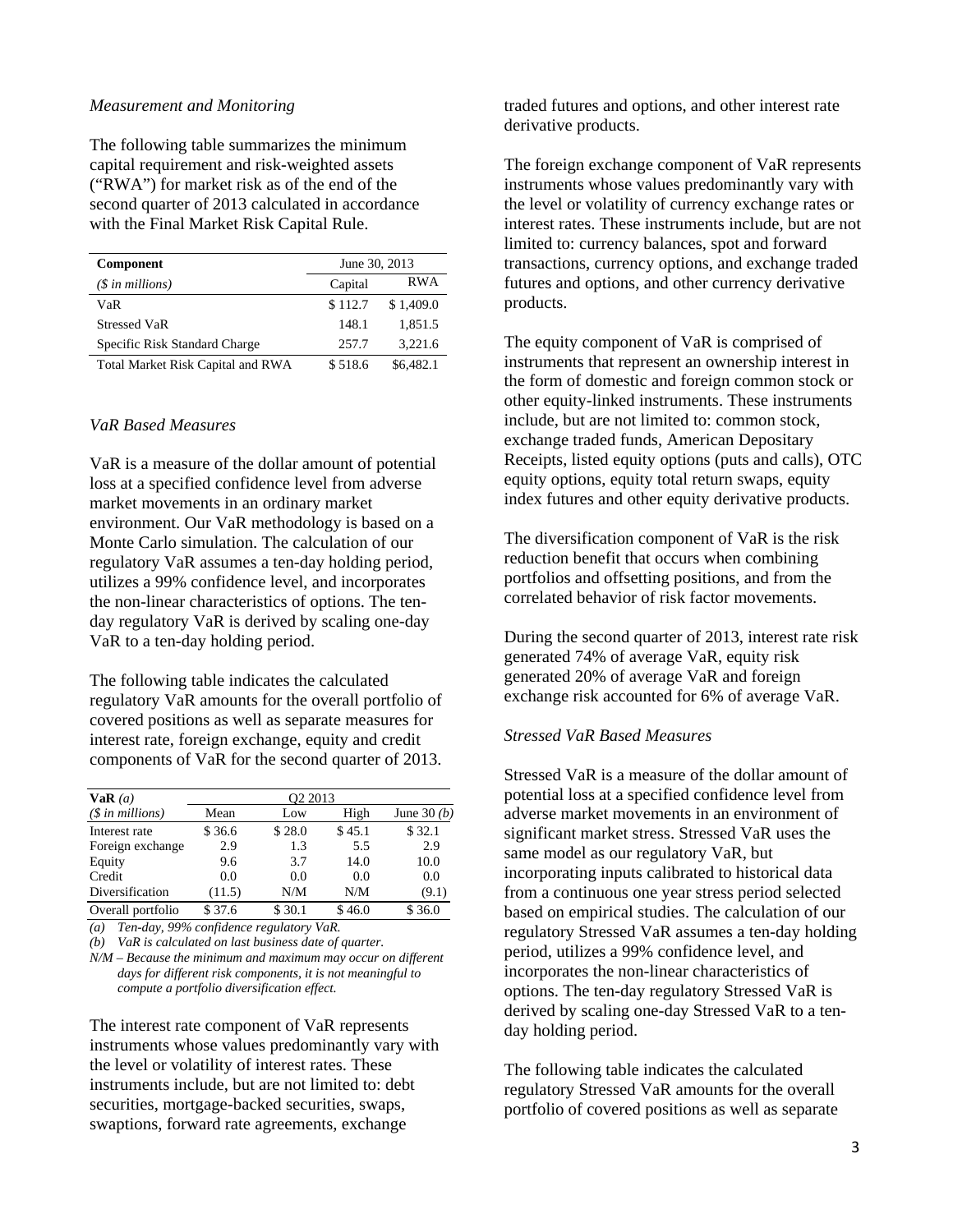#### *Measurement and Monitoring*

The following table summarizes the minimum capital requirement and risk-weighted assets ("RWA") for market risk as of the end of the second quarter of 2013 calculated in accordance with the Final Market Risk Capital Rule.

| <b>Component</b>                  | June 30, 2013 |            |
|-----------------------------------|---------------|------------|
| $(S \in \mathbb{N})$ in millions) | Capital       | <b>RWA</b> |
| VaR                               | \$112.7       | \$1,409.0  |
| <b>Stressed VaR</b>               | 148.1         | 1.851.5    |
| Specific Risk Standard Charge     | 257.7         | 3.221.6    |
| Total Market Risk Capital and RWA | \$518.6       | \$6,482.1  |

#### *VaR Based Measures*

VaR is a measure of the dollar amount of potential loss at a specified confidence level from adverse market movements in an ordinary market environment. Our VaR methodology is based on a Monte Carlo simulation. The calculation of our regulatory VaR assumes a ten-day holding period, utilizes a 99% confidence level, and incorporates the non-linear characteristics of options. The tenday regulatory VaR is derived by scaling one-day VaR to a ten-day holding period.

The following table indicates the calculated regulatory VaR amounts for the overall portfolio of covered positions as well as separate measures for interest rate, foreign exchange, equity and credit components of VaR for the second quarter of 2013.

| VaR(a)                    | O <sub>2</sub> 2013 |        |        |               |
|---------------------------|---------------------|--------|--------|---------------|
| $(\text{\$ in millions})$ | Mean                | Low    | High   | June 30 $(b)$ |
| Interest rate             | \$36.6              | \$28.0 | \$45.1 | \$32.1        |
| Foreign exchange          | 2.9                 | 1.3    | 5.5    | 2.9           |
| Equity                    | 9.6                 | 3.7    | 14.0   | 10.0          |
| Credit                    | 0.0                 | 0.0    | 0.0    | 0.0           |
| Diversification           | (11.5)              | N/M    | N/M    | (9.1)         |
| Overall portfolio         | \$37.6              | \$30.1 | \$46.0 | \$36.0        |

*(a) Ten-day, 99% confidence regulatory VaR.* 

*(b) VaR is calculated on last business date of quarter.* 

*N/M* – *Because the minimum and maximum may occur on different days for different risk components, it is not meaningful to compute a portfolio diversification effect.* 

The interest rate component of VaR represents instruments whose values predominantly vary with the level or volatility of interest rates. These instruments include, but are not limited to: debt securities, mortgage-backed securities, swaps, swaptions, forward rate agreements, exchange

traded futures and options, and other interest rate derivative products.

The foreign exchange component of VaR represents instruments whose values predominantly vary with the level or volatility of currency exchange rates or interest rates. These instruments include, but are not limited to: currency balances, spot and forward transactions, currency options, and exchange traded futures and options, and other currency derivative products.

The equity component of VaR is comprised of instruments that represent an ownership interest in the form of domestic and foreign common stock or other equity-linked instruments. These instruments include, but are not limited to: common stock, exchange traded funds, American Depositary Receipts, listed equity options (puts and calls), OTC equity options, equity total return swaps, equity index futures and other equity derivative products.

The diversification component of VaR is the risk reduction benefit that occurs when combining portfolios and offsetting positions, and from the correlated behavior of risk factor movements.

During the second quarter of 2013, interest rate risk generated 74% of average VaR, equity risk generated 20% of average VaR and foreign exchange risk accounted for 6% of average VaR.

### *Stressed VaR Based Measures*

Stressed VaR is a measure of the dollar amount of potential loss at a specified confidence level from adverse market movements in an environment of significant market stress. Stressed VaR uses the same model as our regulatory VaR, but incorporating inputs calibrated to historical data from a continuous one year stress period selected based on empirical studies. The calculation of our regulatory Stressed VaR assumes a ten-day holding period, utilizes a 99% confidence level, and incorporates the non-linear characteristics of options. The ten-day regulatory Stressed VaR is derived by scaling one-day Stressed VaR to a tenday holding period.

The following table indicates the calculated regulatory Stressed VaR amounts for the overall portfolio of covered positions as well as separate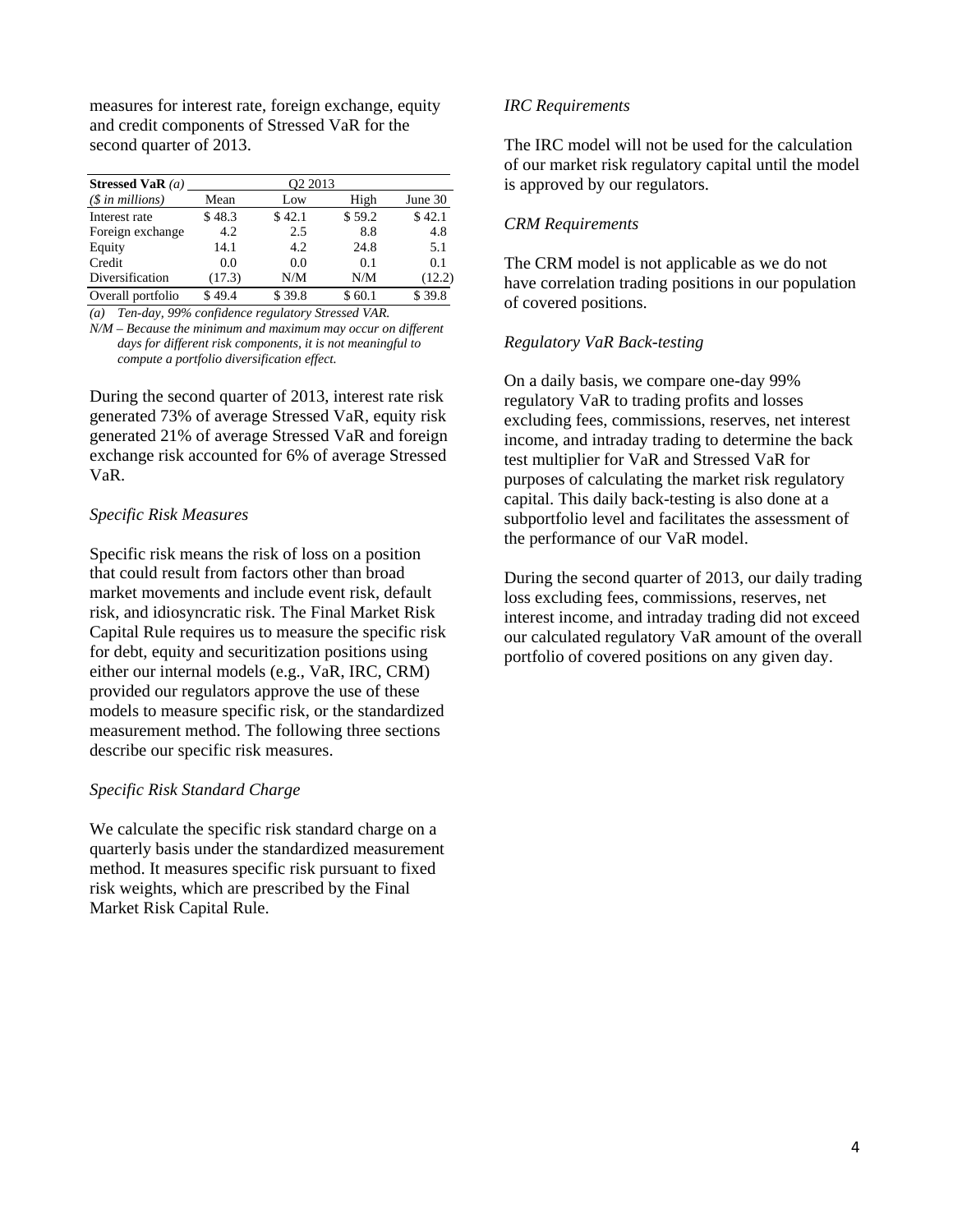measures for interest rate, foreign exchange, equity and credit components of Stressed VaR for the second quarter of 2013.

| Stressed VaR $(a)$ | O <sub>2</sub> 2013 |        |        |         |  |
|--------------------|---------------------|--------|--------|---------|--|
| $(\$$ in millions) | Mean                | Low    | High   | June 30 |  |
| Interest rate      | \$48.3              | \$42.1 | \$59.2 | \$42.1  |  |
| Foreign exchange   | 4.2                 | 2.5    | 8.8    | 4.8     |  |
| Equity             | 14.1                | 4.2    | 24.8   | 5.1     |  |
| Credit             | 0.0                 | 0.0    | 0.1    | 0.1     |  |
| Diversification    | (17.3)              | N/M    | N/M    | (12.2)  |  |
| Overall portfolio  | \$49.4              | \$39.8 | \$60.1 | \$39.8  |  |

*(a) Ten-day, 99% confidence regulatory Stressed VAR.* 

*N/M* – *Because the minimum and maximum may occur on different days for different risk components, it is not meaningful to compute a portfolio diversification effect.* 

During the second quarter of 2013, interest rate risk generated 73% of average Stressed VaR, equity risk generated 21% of average Stressed VaR and foreign exchange risk accounted for 6% of average Stressed VaR.

# *Specific Risk Measures*

Specific risk means the risk of loss on a position that could result from factors other than broad market movements and include event risk, default risk, and idiosyncratic risk. The Final Market Risk Capital Rule requires us to measure the specific risk for debt, equity and securitization positions using either our internal models (e.g., VaR, IRC, CRM) provided our regulators approve the use of these models to measure specific risk, or the standardized measurement method. The following three sections describe our specific risk measures.

### *Specific Risk Standard Charge*

We calculate the specific risk standard charge on a quarterly basis under the standardized measurement method. It measures specific risk pursuant to fixed risk weights, which are prescribed by the Final Market Risk Capital Rule.

# *IRC Requirements*

The IRC model will not be used for the calculation of our market risk regulatory capital until the model is approved by our regulators.

## *CRM Requirements*

The CRM model is not applicable as we do not have correlation trading positions in our population of covered positions.

# *Regulatory VaR Back-testing*

On a daily basis, we compare one-day 99% regulatory VaR to trading profits and losses excluding fees, commissions, reserves, net interest income, and intraday trading to determine the back test multiplier for VaR and Stressed VaR for purposes of calculating the market risk regulatory capital. This daily back-testing is also done at a subportfolio level and facilitates the assessment of the performance of our VaR model.

During the second quarter of 2013, our daily trading loss excluding fees, commissions, reserves, net interest income, and intraday trading did not exceed our calculated regulatory VaR amount of the overall portfolio of covered positions on any given day.